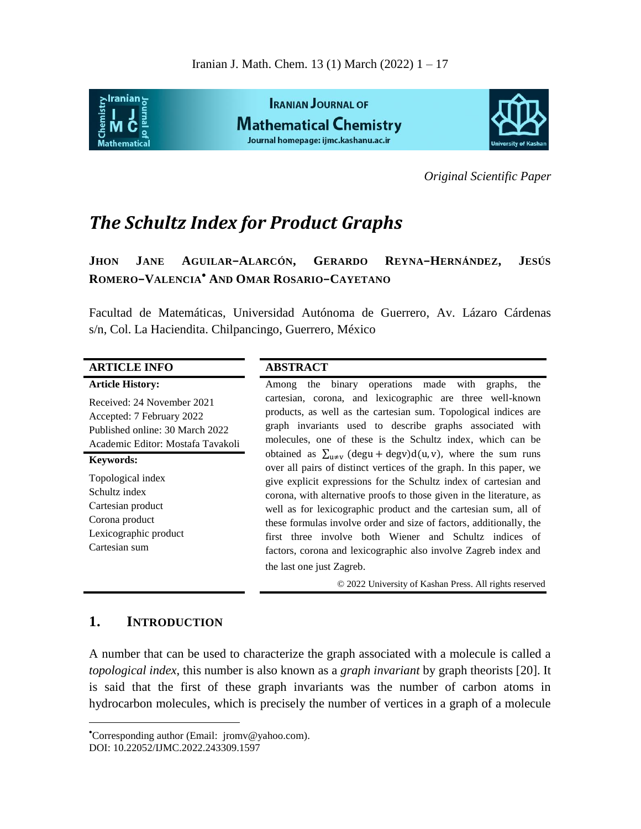

*Original Scientific Paper*

# *The Schultz Index for Product Graphs*

**JHON JANE AGUILAR−ALARCÓN, GERARDO REYNA−HERNÁNDEZ, JESÚS ROMERO−VALENCIA AND OMAR ROSARIO−CAYETANO**

Facultad de Matemáticas, Universidad Autónoma de Guerrero, Av. Lázaro Cárdenas s/n, Col. La Haciendita. Chilpancingo, Guerrero, México

| <b>ARTICLE INFO</b>                                                                                                             | <b>ABSTRACT</b>                                                                                                                                                                                                                                                                                                                                                                                                                              |
|---------------------------------------------------------------------------------------------------------------------------------|----------------------------------------------------------------------------------------------------------------------------------------------------------------------------------------------------------------------------------------------------------------------------------------------------------------------------------------------------------------------------------------------------------------------------------------------|
| <b>Article History:</b>                                                                                                         | the binary operations made with graphs, the<br>Among                                                                                                                                                                                                                                                                                                                                                                                         |
| Received: 24 November 2021<br>Accepted: 7 February 2022<br>Published online: 30 March 2022<br>Academic Editor: Mostafa Tavakoli | cartesian, corona, and lexicographic are three well-known<br>products, as well as the cartesian sum. Topological indices are<br>graph invariants used to describe graphs associated with<br>molecules, one of these is the Schultz index, which can be                                                                                                                                                                                       |
| <b>Keywords:</b>                                                                                                                | obtained as $\sum_{u \neq v} (deg u + deg v) d(u, v)$ , where the sum runs<br>over all pairs of distinct vertices of the graph. In this paper, we                                                                                                                                                                                                                                                                                            |
| Topological index<br>Schultz index<br>Cartesian product<br>Corona product<br>Lexicographic product<br>Cartesian sum             | give explicit expressions for the Schultz index of cartesian and<br>corona, with alternative proofs to those given in the literature, as<br>well as for lexicographic product and the cartesian sum, all of<br>these formulas involve order and size of factors, additionally, the<br>first three involve both Wiener and Schultz indices of<br>factors, corona and lexicographic also involve Zagreb index and<br>the last one just Zagreb. |
|                                                                                                                                 | © 2022 University of Kashan Press. All rights reserved                                                                                                                                                                                                                                                                                                                                                                                       |

# **1. INTRODUCTION**

 $\overline{a}$ 

A number that can be used to characterize the graph associated with a molecule is called a *topological index*, this number is also known as a *graph invariant* by graph theorists [20]. It is said that the first of these graph invariants was the number of carbon atoms in hydrocarbon molecules, which is precisely the number of vertices in a graph of a molecule

Corresponding author (Email: jromv@yahoo.com). DOI: 10.22052/IJMC.2022.243309.1597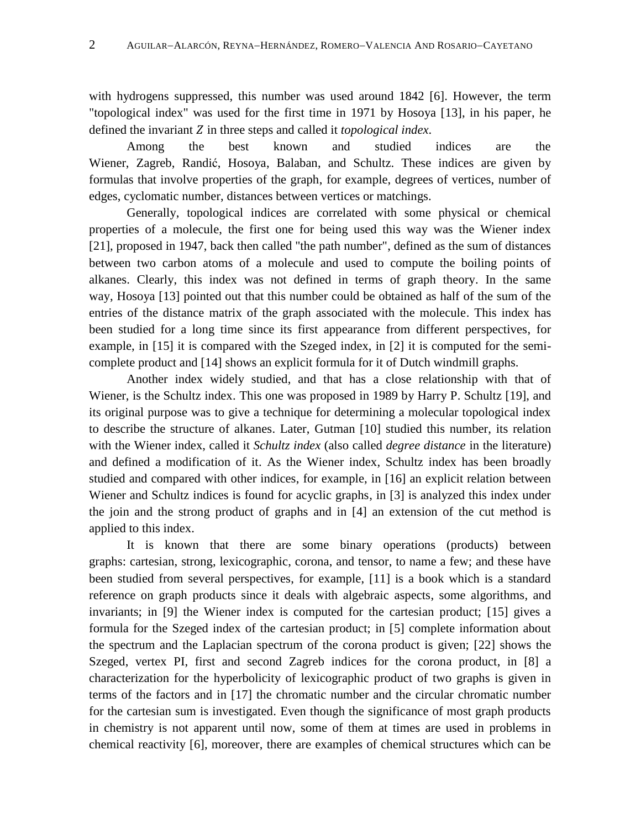with hydrogens suppressed, this number was used around 1842 [6]. However, the term "topological index" was used for the first time in 1971 by Hosoya [13], in his paper, he defined the invariant Z in three steps and called it *topological index*.

Among the best known and studied indices are the Wiener, Zagreb, Randić, Hosoya, Balaban, and Schultz. These indices are given by formulas that involve properties of the graph, for example, degrees of vertices, number of edges, cyclomatic number, distances between vertices or matchings.

Generally, topological indices are correlated with some physical or chemical properties of a molecule, the first one for being used this way was the Wiener index [21], proposed in 1947, back then called "the path number", defined as the sum of distances between two carbon atoms of a molecule and used to compute the boiling points of alkanes. Clearly, this index was not defined in terms of graph theory. In the same way, Hosoya [13] pointed out that this number could be obtained as half of the sum of the entries of the distance matrix of the graph associated with the molecule. This index has been studied for a long time since its first appearance from different perspectives, for example, in [15] it is compared with the Szeged index, in [2] it is computed for the semicomplete product and [14] shows an explicit formula for it of Dutch windmill graphs.

Another index widely studied, and that has a close relationship with that of Wiener, is the Schultz index. This one was proposed in 1989 by Harry P. Schultz [19], and its original purpose was to give a technique for determining a molecular topological index to describe the structure of alkanes. Later, Gutman [10] studied this number, its relation with the Wiener index, called it *Schultz index* (also called *degree distance* in the literature) and defined a modification of it. As the Wiener index, Schultz index has been broadly studied and compared with other indices, for example, in [16] an explicit relation between Wiener and Schultz indices is found for acyclic graphs, in [3] is analyzed this index under the join and the strong product of graphs and in [4] an extension of the cut method is applied to this index.

It is known that there are some binary operations (products) between graphs: cartesian, strong, lexicographic, corona, and tensor, to name a few; and these have been studied from several perspectives, for example, [11] is a book which is a standard reference on graph products since it deals with algebraic aspects, some algorithms, and invariants; in [9] the Wiener index is computed for the cartesian product; [15] gives a formula for the Szeged index of the cartesian product; in [5] complete information about the spectrum and the Laplacian spectrum of the corona product is given; [22] shows the Szeged, vertex PI, first and second Zagreb indices for the corona product, in [8] a characterization for the hyperbolicity of lexicographic product of two graphs is given in terms of the factors and in [17] the chromatic number and the circular chromatic number for the cartesian sum is investigated. Even though the significance of most graph products in chemistry is not apparent until now, some of them at times are used in problems in chemical reactivity [6], moreover, there are examples of chemical structures which can be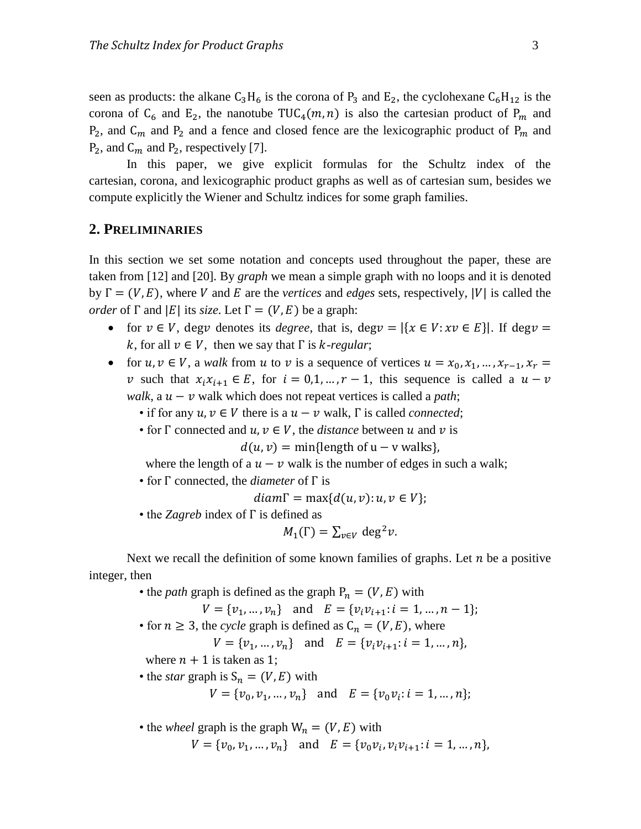seen as products: the alkane  $C_3H_6$  is the corona of  $P_3$  and  $E_2$ , the cyclohexane  $C_6H_{12}$  is the corona of C<sub>6</sub> and E<sub>2</sub>, the nanotube TUC<sub>4</sub>(m, n) is also the cartesian product of P<sub>m</sub> and  $P_2$ , and  $C_m$  and  $P_2$  and a fence and closed fence are the lexicographic product of  $P_m$  and  $P_2$ , and  $C_m$  and  $P_2$ , respectively [7].

In this paper, we give explicit formulas for the Schultz index of the cartesian, corona, and lexicographic product graphs as well as of cartesian sum, besides we compute explicitly the Wiener and Schultz indices for some graph families.

## **2. PRELIMINARIES**

In this section we set some notation and concepts used throughout the paper, these are taken from [12] and [20]. By *graph* we mean a simple graph with no loops and it is denoted by  $\Gamma = (V, E)$ , where V and E are the *vertices* and *edges* sets, respectively, |V| is called the *order* of  $\Gamma$  and  $|E|$  its *size*. Let  $\Gamma = (V, E)$  be a graph:

- for  $v \in V$ , degv denotes its *degree*, that is, degv =  $|\{x \in V : xv \in E\}|$ . If degv = *k*, for all  $v \in V$ , then we say that  $\Gamma$  is *k*-regular;
- for  $u, v \in V$ , a *walk* from u to v is a sequence of vertices  $u = x_0, x_1, ..., x_{r-1}, x_r =$ v such that  $x_i x_{i+1} \in E$ , for  $i = 0, 1, ..., r - 1$ , this sequence is called a  $u - v$ *walk*, a  $u - v$  walk which does not repeat vertices is called a *path*;
	- if for any  $u, v \in V$  there is a  $u v$  walk,  $\Gamma$  is called *connected*;
	- for  $\Gamma$  connected and  $u, v \in V$ , the *distance* between u and v is

 $d(u, v) = \min{\{\text{length of } u - v \text{ walks}\}}$ 

- where the length of a  $u v$  walk is the number of edges in such a walk;
- for  $\Gamma$  connected, the *diameter* of  $\Gamma$  is

$$
diam\Gamma = \max\{d(u, v): u, v \in V\};
$$

• the *Zagreb* index of  $\Gamma$  is defined as

$$
M_1(\Gamma) = \sum_{v \in V} \deg^2 v.
$$

Next we recall the definition of some known families of graphs. Let  $n$  be a positive integer, then

• the *path* graph is defined as the graph  $P_n = (V, E)$  with

- $V = \{v_1, ..., v_n\}$  and  $E = \{v_i v_{i+1}: i = 1, ..., n-1\};$
- for  $n \ge 3$ , the *cycle* graph is defined as  $C_n = (V, E)$ , where

 $V = \{v_1, ..., v_n\}$  and  $E = \{v_i v_{i+1}: i = 1, ..., n\}$ 

where  $n + 1$  is taken as 1;

• the *star* graph is  $S_n = (V, E)$  with

 $V = \{v_0, v_1, ..., v_n\}$  and  $E = \{v_0v_i : i = 1, ..., n\};$ 

• the *wheel* graph is the graph  $W_n = (V, E)$  with  $V = \{v_0, v_1, ..., v_n\}$  and  $E = \{v_0v_i, v_iv_{i+1}: i = 1, ..., n\},\$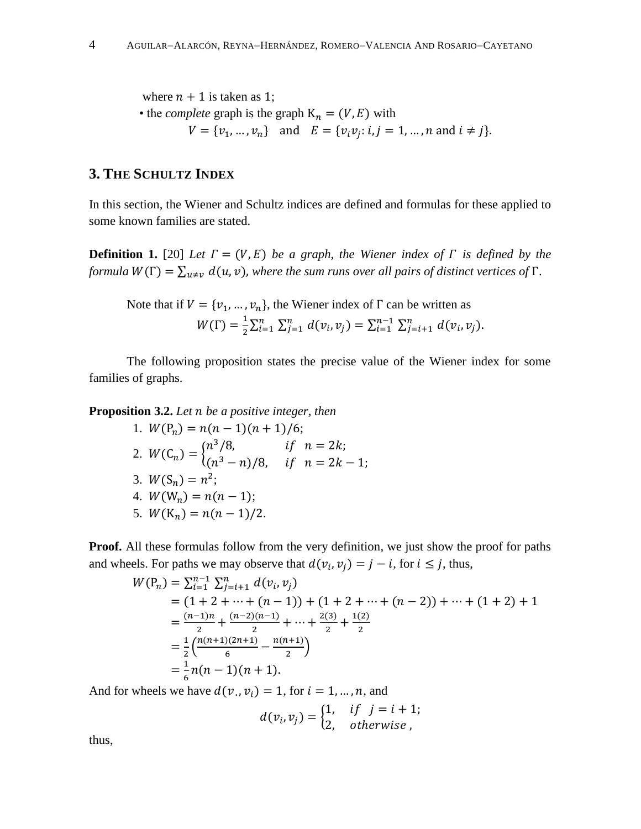where  $n + 1$  is taken as 1;

• the *complete* graph is the graph  $K_n = (V, E)$  with  $V = \{v_1, ..., v_n\}$  and  $E = \{v_i v_j : i, j = 1, ..., n \text{ and } i \neq j\}.$ 

# **3. THE SCHULTZ INDEX**

In this section, the Wiener and Schultz indices are defined and formulas for these applied to some known families are stated.

**Definition 1.** [20] *Let*  $\Gamma = (V, E)$  *be a graph, the Wiener index of*  $\Gamma$  *is defined by the formula*  $W(\Gamma) = \sum_{u \neq v} d(u, v)$ , where the sum runs over all pairs of distinct vertices of  $\Gamma$ .

Note that if 
$$
V = \{v_1, ..., v_n\}
$$
, the Wiener index of  $\Gamma$  can be written as  
\n
$$
W(\Gamma) = \frac{1}{2} \sum_{i=1}^n \sum_{j=1}^n d(v_i, v_j) = \sum_{i=1}^{n-1} \sum_{j=i+1}^n d(v_i, v_j).
$$

The following proposition states the precise value of the Wiener index for some families of graphs.

**Proposition 3.2.** Let *n* be a positive integer, then

1. 
$$
W(P_n) = n(n-1)(n+1)/6;
$$
  
\n2.  $W(C_n) = \begin{cases} n^3/8, & \text{if } n = 2k; \\ (n^3 - n)/8, & \text{if } n = 2k - 1; \end{cases}$   
\n3.  $W(S_n) = n^2;$   
\n4.  $W(W_n) = n(n-1);$   
\n5.  $W(K_n) = n(n-1)/2.$ 

**Proof.** All these formulas follow from the very definition, we just show the proof for paths and wheels. For paths we may observe that  $d(v_i, v_j) = j - i$ , for  $i \leq j$ , thus,

$$
W(P_n) = \sum_{i=1}^{n-1} \sum_{j=i+1}^{n} d(v_i, v_j)
$$
  
= (1 + 2 + \dots + (n - 1)) + (1 + 2 + \dots + (n - 2)) + \dots + (1 + 2) + 1  
=  $\frac{(n-1)n}{2}$  +  $\frac{(n-2)(n-1)}{2}$  +  $\dots$  +  $\frac{2(3)}{2}$  +  $\frac{1(2)}{2}$   
=  $\frac{1}{2}$   $\left(\frac{n(n+1)(2n+1)}{6} - \frac{n(n+1)}{2}\right)$   
=  $\frac{1}{6}$  n(n - 1)(n + 1).

And for wheels we have  $d(v_i, v_i) = 1$ , for  $i = 1, ..., n$ , and

$$
d(v_i, v_j) = \begin{cases} 1, & if \ j = i + 1; \\ 2, & otherwise \end{cases}
$$

thus,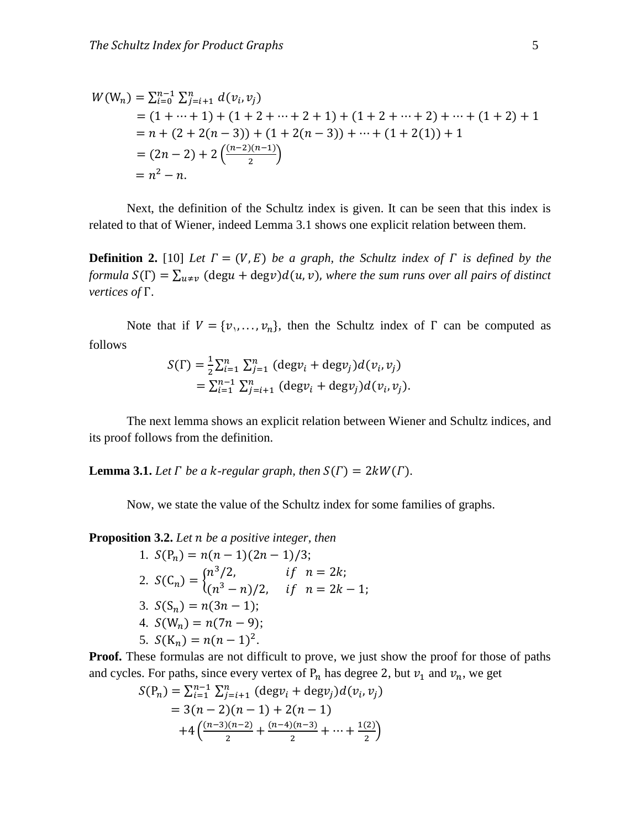$$
W(W_n) = \sum_{i=0}^{n-1} \sum_{j=i+1}^{n} d(v_i, v_j)
$$
  
= (1 + \dots + 1) + (1 + 2 + \dots + 2 + 1) + (1 + 2 + \dots + 2) + \dots + (1 + 2) + 1  
= n + (2 + 2(n - 3)) + (1 + 2(n - 3)) + \dots + (1 + 2(1)) + 1  
= (2n - 2) + 2\left(\frac{(n-2)(n-1)}{2}\right)  
= n<sup>2</sup> - n.

Next, the definition of the Schultz index is given. It can be seen that this index is related to that of Wiener, indeed Lemma 3.1 shows one explicit relation between them.

**Definition 2.** [10] Let  $\Gamma = (V, E)$  be a graph, the Schultz index of  $\Gamma$  is defined by the *formula*  $S(\Gamma) = \sum_{u \neq v} (deg u + deg v) d(u, v)$ , where the sum runs over all pairs of distinct *vertices of*  $\Gamma$ .

Note that if  $V = \{v_1, \ldots, v_n\}$ , then the Schultz index of  $\Gamma$  can be computed as follows

$$
S(\Gamma) = \frac{1}{2} \sum_{i=1}^{n} \sum_{j=1}^{n} (\text{deg} v_i + \text{deg} v_j) d(v_i, v_j)
$$
  
=  $\sum_{i=1}^{n-1} \sum_{j=i+1}^{n} (\text{deg} v_i + \text{deg} v_j) d(v_i, v_j).$ 

The next lemma shows an explicit relation between Wiener and Schultz indices, and its proof follows from the definition.

**Lemma 3.1.** Let  $\Gamma$  be a k-regular graph, then  $S(\Gamma) = 2kW(\Gamma)$ .

Now, we state the value of the Schultz index for some families of graphs.

**Proposition 3.2.** Let *n* be a positive integer, then

1. 
$$
S(P_n) = n(n-1)(2n-1)/3;
$$
  
\n2.  $S(C_n) = \begin{cases} n^3/2, & \text{if } n = 2k; \\ (n^3 - n)/2, & \text{if } n = 2k - 1; \end{cases}$   
\n3.  $S(S_n) = n(3n - 1);$   
\n4.  $S(W_n) = n(7n - 9);$   
\n5.  $S(K_n) = n(n - 1)^2.$ 

**Proof.** These formulas are not difficult to prove, we just show the proof for those of paths and cycles. For paths, since every vertex of  $P_n$  has degree 2, but  $v_1$  and  $v_n$ , we get

$$
S(P_n) = \sum_{i=1}^{n-1} \sum_{j=i+1}^{n} (\text{deg} v_i + \text{deg} v_j) d(v_i, v_j)
$$
  
= 3(n-2)(n-1) + 2(n-1)  
+4\left(\frac{(n-3)(n-2)}{2} + \frac{(n-4)(n-3)}{2} + \dots + \frac{1(2)}{2}\right)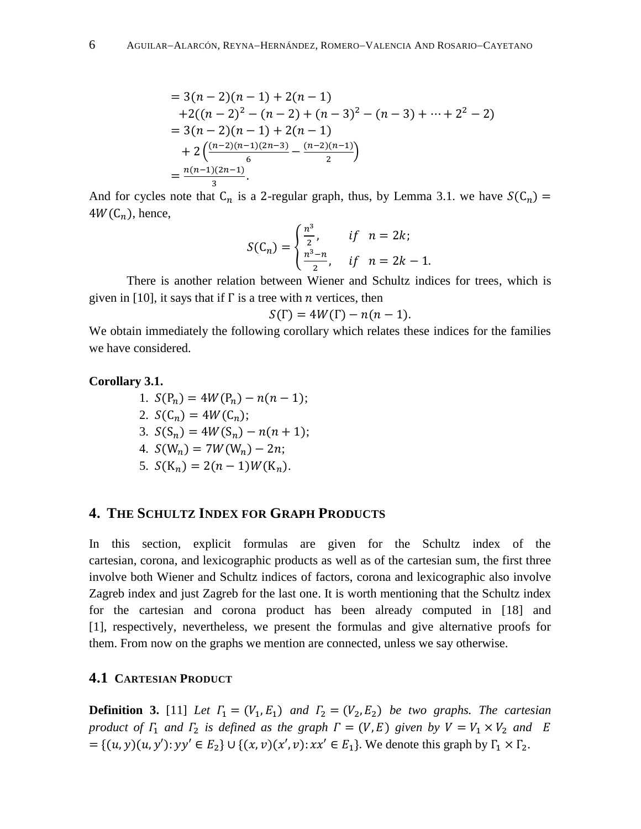$$
= 3(n-2)(n-1) + 2(n-1)
$$
  
+2((n-2)<sup>2</sup> - (n-2) + (n-3)<sup>2</sup> - (n-3) + ... + 2<sup>2</sup> - 2)  
= 3(n-2)(n-1) + 2(n-1)  
+ 2( $\frac{(n-2)(n-1)(2n-3)}{6}$  -  $\frac{(n-2)(n-1)}{2}$ )  
=  $\frac{n(n-1)(2n-1)}{3}$ .

And for cycles note that  $C_n$  is a 2-regular graph, thus, by Lemma 3.1. we have  $4W(C_n)$ , hence,

$$
S(C_n) = \begin{cases} \frac{n^3}{2}, & \text{if } n = 2k; \\ \frac{n^3 - n}{2}, & \text{if } n = 2k - 1 \end{cases}
$$

There is another relation between Wiener and Schultz indices for trees, which is given in [10], it says that if  $\Gamma$  is a tree with *n* vertices, then

$$
S(\Gamma) = 4W(\Gamma) - n(n-1).
$$

We obtain immediately the following corollary which relates these indices for the families we have considered.

#### **Corollary 3.1.**

1. 
$$
S(P_n) = 4W(P_n) - n(n - 1);
$$
  
\n2.  $S(C_n) = 4W(C_n);$   
\n3.  $S(S_n) = 4W(S_n) - n(n + 1);$   
\n4.  $S(W_n) = 7W(W_n) - 2n;$   
\n5.  $S(K_n) = 2(n - 1)W(K_n).$ 

# **4. THE SCHULTZ INDEX FOR GRAPH PRODUCTS**

In this section, explicit formulas are given for the Schultz index of the cartesian, corona, and lexicographic products as well as of the cartesian sum, the first three involve both Wiener and Schultz indices of factors, corona and lexicographic also involve Zagreb index and just Zagreb for the last one. It is worth mentioning that the Schultz index for the cartesian and corona product has been already computed in [18] and [1], respectively, nevertheless, we present the formulas and give alternative proofs for them. From now on the graphs we mention are connected, unless we say otherwise.

## **4.1 CARTESIAN PRODUCT**

**Definition 3.** [11] Let  $\Gamma_1 = (V_1, E_1)$  and  $\Gamma_2 = (V_2, E_2)$  be two graphs. The cartesian *product of*  $\Gamma_1$  *and*  $\Gamma_2$  *is defined as the graph*  $\Gamma = (V, E)$  *given by*  $V = V_1 \times V_2$  *and*  $E$  $=\{(u, y)(u, y'); y y' \in E_2\} \cup \{(x, v)(x', v): xx' \in E_1\}.$  We denote this graph by  $\Gamma_1 \times \Gamma_2$ .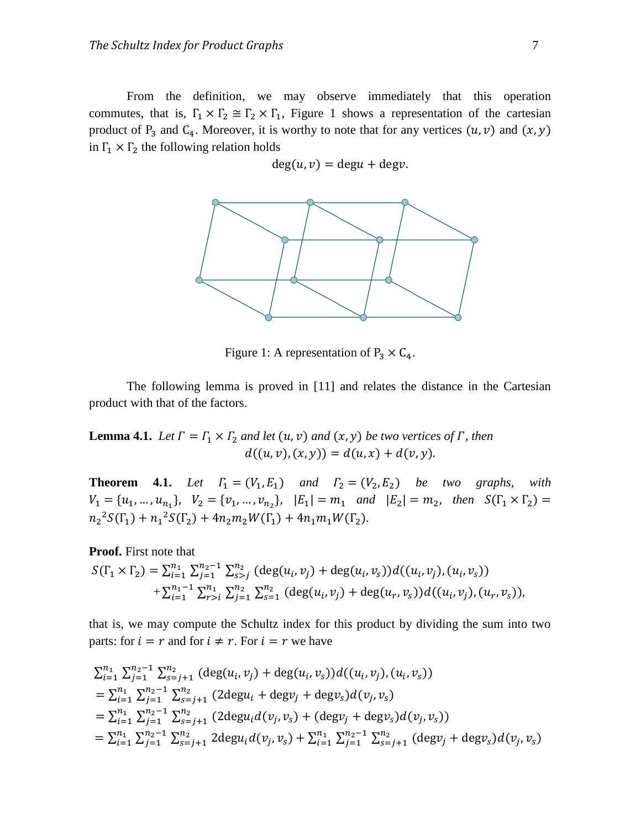From the definition, we may observe immediately that this operation commutes, that is,  $\Gamma_1 \times \Gamma_2 \cong \Gamma_2 \times \Gamma_1$ , Figure 1 shows a representation of the cartesian product of P<sub>3</sub> and C<sub>4</sub>. Moreover, it is worthy to note that for any vertices  $(u, v)$  and  $(x, y)$ in  $\Gamma_1 \times \Gamma_2$  the following relation holds

 $deg(u, v) = degu + degv.$ 



Figure 1: A representation of  $P_3 \times C_4$ .

The following lemma is proved in [11] and relates the distance in the Cartesian product with that of the factors.

**Lemma 4.1.** Let  $\Gamma = \Gamma_1 \times \Gamma_2$  and let  $(u, v)$  and  $(x, y)$  be two vertices of  $\Gamma$ , then  $d((u, v), (x, y)) = d(u, x) + d(v, y).$ 

**Theorem 4.1.** Let  $\Gamma_1 = (V_1, E_1)$  and  $\Gamma_2 = (V_2, E_2)$  be two graphs, with  $V_1 = \{u_1, ..., u_{n_1}\}, V_2 = \{v_1, ..., v_{n_2}\}, E_1 = m_1$  and  $|E_2| = m_2$ , then S  $n_2^2 S(\Gamma_1) + n_1^2 S(\Gamma_2) + 4n_2 m_2 W(\Gamma_1) + 4n_1 m_1 W(\Gamma_2)$ .

**Proof.** First note that

$$
S(\Gamma_1 \times \Gamma_2) = \sum_{i=1}^{n_1} \sum_{j=1}^{n_2-1} \sum_{s>j}^{n_2} (\deg(u_i, v_j) + \deg(u_i, v_s))d((u_i, v_j), (u_i, v_s)) + \sum_{i=1}^{n_1-1} \sum_{r>i}^{n_1} \sum_{j=1}^{n_2} \sum_{s=1}^{n_2} (\deg(u_i, v_j) + \deg(u_r, v_s))d((u_i, v_j), (u_r, v_s)),
$$

that is, we may compute the Schultz index for this product by dividing the sum into two parts: for  $i = r$  and for  $i \neq r$ . For  $i = r$  we have

$$
\sum_{i=1}^{n_1} \sum_{j=1}^{n_2-1} \sum_{s=j+1}^{n_2} (\deg(u_i, v_j) + \deg(u_i, v_s))d((u_i, v_j), (u_i, v_s))
$$
  
=  $\sum_{i=1}^{n_1} \sum_{j=1}^{n_2-1} \sum_{s=j+1}^{n_2} (2 \deg u_i + \deg v_j + \deg v_s)d(v_j, v_s)$   
=  $\sum_{i=1}^{n_1} \sum_{j=1}^{n_2-1} \sum_{s=j+1}^{n_2} (2 \deg u_i d(v_j, v_s) + (\deg v_j + \deg v_s)d(v_j, v_s))$   
=  $\sum_{i=1}^{n_1} \sum_{j=1}^{n_2-1} \sum_{s=j+1}^{n_2} 2 \deg u_i d(v_j, v_s) + \sum_{i=1}^{n_1} \sum_{j=1}^{n_2-1} \sum_{s=j+1}^{n_2} (\deg v_j + \deg v_s)d(v_j, v_s)$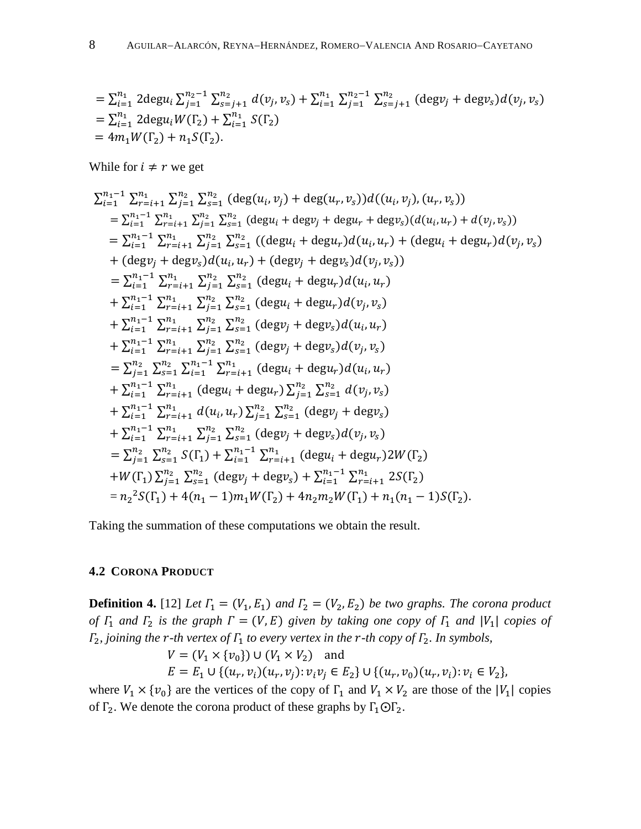$$
= \sum_{i=1}^{n_1} 2 \deg u_i \sum_{j=1}^{n_2-1} \sum_{s=j+1}^{n_2} d(v_j, v_s) + \sum_{i=1}^{n_1} \sum_{j=1}^{n_2-1} \sum_{s=j+1}^{n_2} (\deg v_j + \deg v_s) d(v_j, v_s)
$$
  
=  $\sum_{i=1}^{n_1} 2 \deg u_i W(\Gamma_2) + \sum_{i=1}^{n_1} S(\Gamma_2)$   
=  $4m_1 W(\Gamma_2) + n_1 S(\Gamma_2)$ .

While for  $i \neq r$  we get

$$
\sum_{i=1}^{n_1-1} \sum_{r=i+1}^{n_1} \sum_{j=1}^{n_2} \sum_{s=1}^{n_2} (\deg(u_i, v_j) + \deg(u_r, v_s))d((u_i, v_j), (u_r, v_s))
$$
\n
$$
= \sum_{i=1}^{n_1-1} \sum_{r=i+1}^{n_1} \sum_{j=1}^{n_2} \sum_{s=1}^{n_2} (\deg u_i + \deg v_j + \deg u_r + \deg v_s)(d(u_i, u_r) + d(v_j, v_s))
$$
\n
$$
= \sum_{i=1}^{n_1-1} \sum_{r=i+1}^{n_1} \sum_{j=1}^{n_2} \sum_{s=1}^{n_2} ((\deg u_i + \deg u_r) d(u_i, u_r) + (\deg u_i + \deg u_r) d(v_j, v_s))
$$
\n+  $(\deg v_j + \deg v_s) d(u_i, u_r) + (\deg v_j + \deg v_s) d(v_j, v_s))$   
\n
$$
= \sum_{i=1}^{n_1-1} \sum_{r=i+1}^{n_1} \sum_{j=1}^{n_2} \sum_{s=1}^{n_2} (\deg u_i + \deg u_r) d(u_i, u_r)
$$
\n+  $\sum_{i=1}^{n_1-1} \sum_{r=i+1}^{n_1} \sum_{j=1}^{n_2} \sum_{s=1}^{n_2} (\deg v_j + \deg v_s) d(u_i, u_r)$   
\n+  $\sum_{i=1}^{n_1-1} \sum_{r=i+1}^{n_1} \sum_{j=1}^{n_2} \sum_{s=1}^{n_2} (\deg v_j + \deg v_s) d(v_j, v_s)$   
\n+  $\sum_{i=1}^{n_1-1} \sum_{r=i+1}^{n_1} \sum_{j=1}^{n_2} \sum_{s=1}^{n_2} (\deg v_j + \deg v_s) d(v_j, v_s)$   
\n+  $\sum_{i=1}^{n_1-1} \sum_{r=i+1}^{n_1} \sum_{r=i+1}^{n_1} (\deg u_i + \deg u_r) d(u_i, u_r)$   
\n+  $\sum_{i=1}^{n_1-1} \sum_{r=i+1}^{n_1} \sum_{r=i+1}^{n_2} \sum_{s=1}^{n_2} (\deg v_j + \deg$ 

Taking the summation of these computations we obtain the result.

## **4.2 CORONA PRODUCT**

**Definition 4.** [12] Let  $\Gamma_1 = (V_1, E_1)$  and  $\Gamma_2 = (V_2, E_2)$  be two graphs. The corona product *of*  $\Gamma_1$  *and*  $\Gamma_2$  *is the graph*  $\Gamma = (V, E)$  *given by taking one copy of*  $\Gamma_1$  *and*  $|V_1|$  *copies of*  $\Gamma_2$ , joining the r-th vertex of  $\Gamma_1$  to every vertex in the r-th copy of  $\Gamma_2$ . In symbols,

$$
V = (V_1 \times \{v_0\}) \cup (V_1 \times V_2) \text{ and}
$$
  
\n
$$
E = E_1 \cup \{(u_r, v_i)(u_r, v_i): v_i v_i \in E_2\} \cup \{(u_r, v_0)(u_r, v_i): v_i \in V_2\},
$$

where  $V_1 \times \{v_0\}$  are the vertices of the copy of  $\Gamma_1$  and  $V_1 \times V_2$  are those of the  $|V_1|$  copies of  $\Gamma_2$ . We denote the corona product of these graphs by  $\Gamma_1 \odot \Gamma_2$ .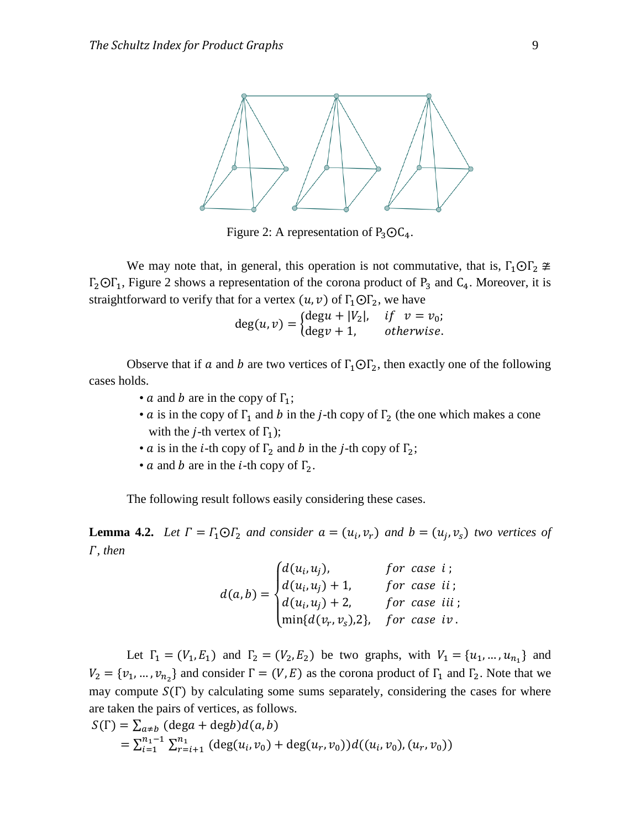

Figure 2: A representation of  $P_3O_4$ .

We may note that, in general, this operation is not commutative, that is,  $\Gamma_1 \text{O} \Gamma_2 \ncong$  $\Gamma_2$ O $\Gamma_1$ , Figure 2 shows a representation of the corona product of P<sub>3</sub> and C<sub>4</sub>. Moreover, it is straightforward to verify that for a vertex  $(u, v)$  of  $\Gamma_1 \odot \Gamma_2$ , we have

 $deg(u, v) = \begin{cases} d \\ d \end{cases}$  $\mathbf d$ 

Observe that if a and b are two vertices of  $\Gamma_1 \text{O} \Gamma_2$ , then exactly one of the following cases holds.

- *a* and *b* are in the copy of  $\Gamma_1$ ;
- *a* is in the copy of  $\Gamma_1$  and *b* in the *j*-th copy of  $\Gamma_2$  (the one which makes a cone with the *j*-th vertex of  $\Gamma_1$ );
- *a* is in the *i*-th copy of  $\Gamma_2$  and *b* in the *j*-th copy of  $\Gamma_2$ ;
- *a* and *b* are in the *i*-th copy of  $\Gamma_2$ .

The following result follows easily considering these cases.

**Lemma 4.2.** Let  $\Gamma = \Gamma_1 \odot \Gamma_2$  and consider  $a = (u_i, v_r)$  and  $b = (u_i, v_s)$  two vertices of *, then*

$$
d(a,b) = \begin{cases} d(u_i, u_j), & \text{for case } i \text{;} \\ d(u_i, u_j) + 1, & \text{for case } ii \text{;} \\ d(u_i, u_j) + 2, & \text{for case } iii \text{;} \\ min\{d(v_r, v_s), 2\}, & \text{for case } iv \text{.} \end{cases}
$$

Let  $\Gamma_1 = (V_1, E_1)$  and  $\Gamma_2 = (V_2, E_2)$  be two graphs, with  $V_1 = \{u_1, ..., u_{n_1}\}\$  and  $V_2 = \{v_1, ..., v_{n_2}\}\$ and consider  $\Gamma = (V, E)$  as the corona product of  $\Gamma_1$  and  $\Gamma_2$ . Note that we may compute  $S(\Gamma)$  by calculating some sums separately, considering the cases for where are taken the pairs of vertices, as follows.

$$
S(\Gamma) = \sum_{a \neq b} (\deg a + \deg b) d(a, b)
$$
  
=  $\sum_{i=1}^{n_1-1} \sum_{r=i+1}^{n_1} (\deg(u_i, v_0) + \deg(u_r, v_0)) d((u_i, v_0), (u_r, v_0))$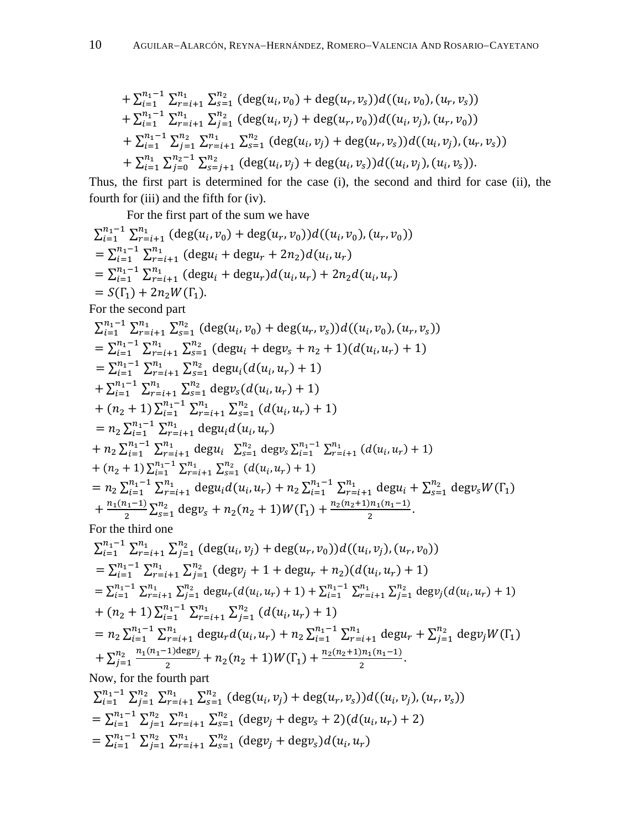+ 
$$
\sum_{i=1}^{n_1-1} \sum_{r=i+1}^{n_1} \sum_{s=1}^{n_2} (\deg(u_i, v_0) + \deg(u_r, v_s))d((u_i, v_0), (u_r, v_s))
$$
  
+  $\sum_{i=1}^{n_1-1} \sum_{r=i+1}^{n_1} \sum_{j=1}^{n_2} (\deg(u_i, v_j) + \deg(u_r, v_0))d((u_i, v_j), (u_r, v_0))$   
+  $\sum_{i=1}^{n_1-1} \sum_{j=1}^{n_2} \sum_{r=i+1}^{n_1} \sum_{s=1}^{n_2} (\deg(u_i, v_j) + \deg(u_r, v_s))d((u_i, v_j), (u_r, v_s))$   
+  $\sum_{i=1}^{n_1} \sum_{j=0}^{n_2-1} \sum_{s=j+1}^{n_2} (\deg(u_i, v_j) + \deg(u_i, v_s))d((u_i, v_j), (u_i, v_s)).$ 

Thus, the first part is determined for the case (i), the second and third for case (ii), the fourth for (iii) and the fifth for (iv).

For the first part of the sum we have

$$
\sum_{i=1}^{n_{1}-1} \sum_{r=i+1}^{n_{1}} (deg(u_{i}, v_{0}) + deg(u_{r}, v_{0}))d((u_{i}, v_{0}, (u_{r}, v_{0}))
$$
\n
$$
= \sum_{i=1}^{n_{1}-1} \sum_{r=i+1}^{n_{2}} (degu_{i} + degu_{r} + 2n_{2})d(u_{i}, u_{r})
$$
\n
$$
= \sum_{i=1}^{n_{1}-1} \sum_{r=i+1}^{n_{2}} (degu_{i} + degu_{r})d(u_{i}, u_{r}) + 2n_{2}d(u_{i}, u_{r})
$$
\nFor the second part\n
$$
\sum_{i=1}^{n_{1}} \sum_{r=i+1}^{n_{2}} \sum_{s=1}^{n_{2}} (deg(u_{i}, v_{0}) + deg(u_{r}, v_{s}))d((u_{i}, v_{0}), (u_{r}, v_{s}))
$$
\n
$$
= \sum_{i=1}^{n_{1}-1} \sum_{r=i+1}^{n_{2}} \sum_{s=1}^{n_{2}} (degu_{i} + degv_{s} + n_{2} + 1)(d(u_{i}, u_{r}) + 1)
$$
\n
$$
= \sum_{i=1}^{n_{1}-1} \sum_{r=i+1}^{n_{2}} \sum_{s=1}^{n_{2}} (degu_{i}(d(u_{i}, u_{r}) + 1)
$$
\n
$$
+ (n_{2} + 1) \sum_{i=1}^{n_{1}-1} \sum_{r=i+1}^{n_{2}} \sum_{s=1}^{n_{2}} (gcd(u_{i}, u_{r}) + 1)
$$
\n
$$
+ (n_{2} + 1) \sum_{i=1}^{n_{1}-1} \sum_{r=i+1}^{n_{1}} \sum_{s=1}^{n_{2}} (d(u_{i}, u_{r}) + 1)
$$
\n
$$
+ n_{2} \sum_{i=1}^{n_{1}-1} \sum_{r=i+1}^{n_{1}} degu_{i} \sum_{s=1}^{n_{2}} (d(u_{i}, u_{r}) + 1)
$$
\n
$$
+ n_{2} \sum_{i=1}^{n_{1}-1} \sum_{r=i+1}^{n_{1}} degu_{i} \sum_{s=1}^{n_{2}} (degv_{s} \sum_{i=1}^{n_{1}-1} \sum_{r=i+1}^{n_{1}} degu_{i
$$

$$
\sum_{i=1}^{n_1-1} \sum_{j=1}^{n_2} \sum_{r=i+1}^{n_1} \sum_{s=1}^{n_2} (\deg(u_i, v_j) + \deg(u_r, v_s))d((u_i, v_j), (u_r, v_s))
$$
  
=  $\sum_{i=1}^{n_1-1} \sum_{j=1}^{n_2} \sum_{r=i+1}^{n_1} \sum_{s=1}^{n_2} (\deg v_j + \deg v_s + 2)(d(u_i, u_r) + 2)$   
=  $\sum_{i=1}^{n_1-1} \sum_{j=1}^{n_2} \sum_{r=i+1}^{n_1} \sum_{s=1}^{n_2} (\deg v_j + \deg v_s)d(u_i, u_r)$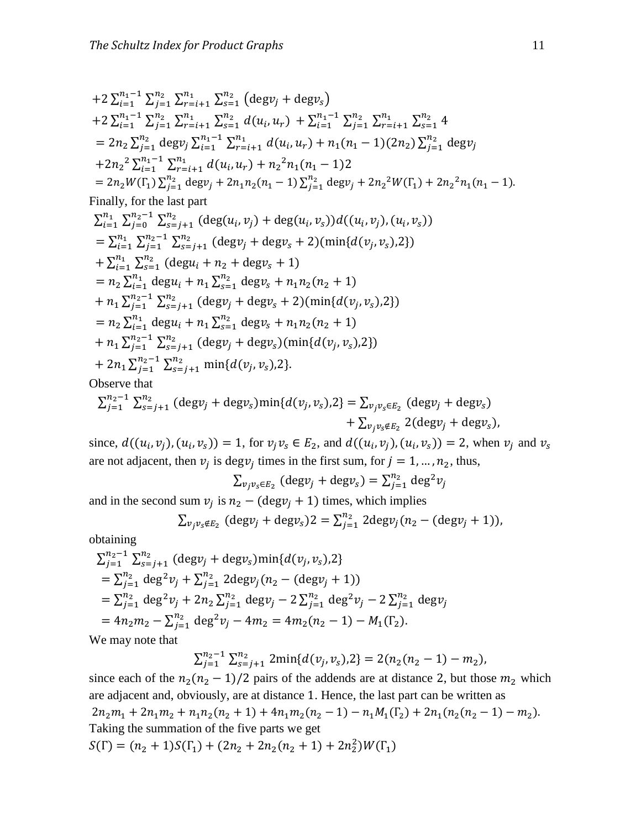+2 
$$
\sum_{i=1}^{n_1-1} \sum_{j=1}^{n_2} \sum_{r=i+1}^{n_1} \sum_{s=1}^{n_2} (\text{deg} v_j + \text{deg} v_s)
$$
  
+2  $\sum_{i=1}^{n_1-1} \sum_{j=1}^{n_2} \sum_{r=i+1}^{n_1} \sum_{s=1}^{n_2} d(u_i, u_r) + \sum_{i=1}^{n_1-1} \sum_{j=1}^{n_2} \sum_{r=i+1}^{n_1} \sum_{s=1}^{n_2} 4$   
= 2n<sub>2</sub>  $\sum_{j=1}^{n_2} \text{deg} v_j \sum_{i=1}^{n_1-1} \sum_{r=i+1}^{n_1} d(u_i, u_r) + n_1(n_1 - 1)(2n_2) \sum_{j=1}^{n_2} \text{deg} v_j$   
+2n<sub>2</sub><sup>2</sup>  $\sum_{i=1}^{n_1-1} \sum_{r=i+1}^{n_1} d(u_i, u_r) + n_2^2 n_1(n_1 - 1) 2$   
= 2n<sub>2</sub>W( $\Gamma_1$ )  $\sum_{j=1}^{n_2} \text{deg} v_j + 2n_1 n_2(n_1 - 1) \sum_{j=1}^{n_2} \text{deg} v_j + 2n_2^2 W(\Gamma_1) + 2n_2^2 n_1(n_1 - 1)$ .  
Finally, for the last part

$$
\sum_{i=1}^{n_1} \sum_{j=0}^{n_2-1} \sum_{s=j+1}^{n_2} (\deg(u_i, v_j) + \deg(u_i, v_s))d((u_i, v_j), (u_i, v_s))
$$
\n
$$
= \sum_{i=1}^{n_1} \sum_{j=1}^{n_2-1} \sum_{s=j+1}^{n_2} (\deg v_j + \deg v_s + 2)(\min\{d(v_j, v_s), 2\})
$$
\n
$$
+ \sum_{i=1}^{n_1} \sum_{s=1}^{n_2} (\deg u_i + n_2 + \deg v_s + 1)
$$
\n
$$
= n_2 \sum_{i=1}^{n_1} \deg u_i + n_1 \sum_{s=1}^{n_2} \deg v_s + n_1 n_2 (n_2 + 1)
$$
\n
$$
+ n_1 \sum_{j=1}^{n_2-1} \sum_{s=j+1}^{n_2} (\deg v_j + \deg v_s + 2)(\min\{d(v_j, v_s), 2\})
$$
\n
$$
= n_2 \sum_{i=1}^{n_1} \deg u_i + n_1 \sum_{s=1}^{n_2} \deg v_s + n_1 n_2 (n_2 + 1)
$$
\n
$$
+ n_1 \sum_{j=1}^{n_2-1} \sum_{s=j+1}^{n_2} (\deg v_j + \deg v_s)(\min\{d(v_j, v_s), 2\})
$$
\n
$$
+ 2n_1 \sum_{j=1}^{n_2-1} \sum_{s=j+1}^{n_2} \min\{d(v_j, v_s), 2\}.
$$
\nObserve that

Observe that

$$
\sum_{j=1}^{n_2-1} \sum_{s=j+1}^{n_2} (\text{deg} v_j + \text{deg} v_s) \min\{d(v_j, v_s), 2\} = \sum_{v_j v_s \in E_2} (\text{deg} v_j + \text{deg} v_s) + \sum_{v_j v_s \notin E_2} 2(\text{deg} v_j + \text{deg} v_s),
$$

since,  $d((u_i, v_i), (u_i, v_s)) = 1$ , for  $v_i v_s \in E_2$ , and  $d((u_i, v_i), (u_i, v_s)) = 2$ , when  $v_i$  and are not adjacent, then  $v_i$  is deg $v_i$  times in the first sum, for  $j = 1, ..., n_2$ , thus,

$$
\sum_{v_j v_s \in E_2} (\text{deg} v_j + \text{deg} v_s) = \sum_{j=1}^{n_2} \text{deg}^2 v_j
$$

and in the second sum  $v_i$  is  $n_2 - (\text{deg} v_i + 1)$  times, which implies

$$
\sum_{v_j v_s \notin E_2} (\text{deg} v_j + \text{deg} v_s) 2 = \sum_{j=1}^{n_2} 2 \text{deg} v_j (n_2 - (\text{deg} v_j + 1)),
$$

obtaining

$$
\sum_{j=1}^{n_2-1} \sum_{s=j+1}^{n_2} (\text{deg} v_j + \text{deg} v_s) \min\{d(v_j, v_s), 2\}
$$
  
=  $\sum_{j=1}^{n_2} \text{deg}^2 v_j + \sum_{j=1}^{n_2} 2\text{deg} v_j (n_2 - (\text{deg} v_j + 1))$   
=  $\sum_{j=1}^{n_2} \text{deg}^2 v_j + 2n_2 \sum_{j=1}^{n_2} \text{deg} v_j - 2 \sum_{j=1}^{n_2} \text{deg}^2 v_j - 2 \sum_{j=1}^{n_2} \text{deg} v_j$   
=  $4n_2 m_2 - \sum_{j=1}^{n_2} \text{deg}^2 v_j - 4m_2 = 4m_2 (n_2 - 1) - M_1(\Gamma_2)$ .  
We may note that

We may note that

$$
\sum_{j=1}^{n_2-1} \sum_{s=j+1}^{n_2} 2\min\{d(v_j, v_s), 2\} = 2(n_2(n_2 - 1) - m_2)
$$

since each of the  $n_2(n_2 - 1)/2$  pairs of the addends are at distance 2, but those  $m_2$  which are adjacent and, obviously, are at distance 1. Hence, the last part can be written as  $2n_2m_1 + 2n_1m_2 + n_1n_2(n_2 + 1) + 4n_1m_2(n_2 - 1) - n_1M_1(\Gamma_2) + 2n_1(n_2(n_2 - 1) - m_2)$ Taking the summation of the five parts we get  $S(\Gamma) = (n_2 + 1)S(\Gamma_1) + (2n_2 + 2n_2(n_2 + 1) + 2n_2^2)$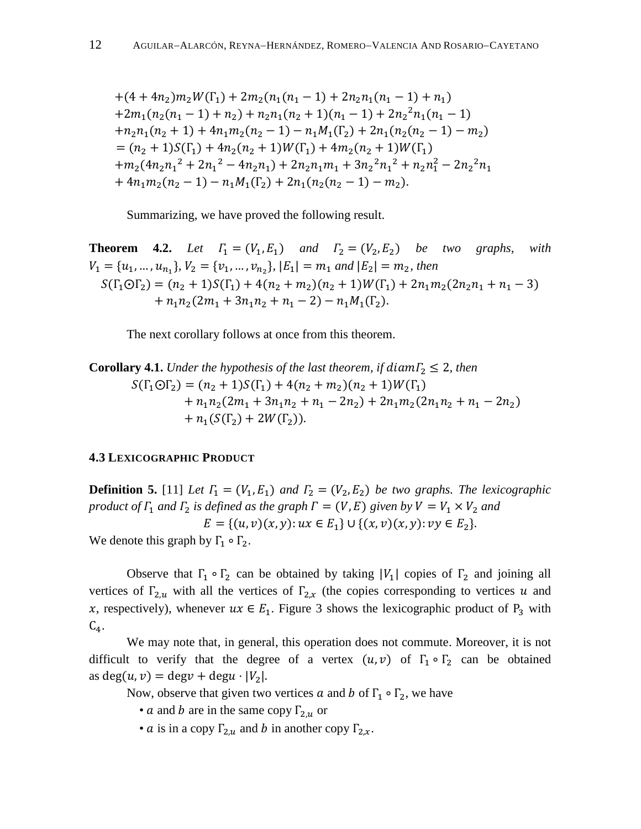$+(4+4n_2)m_2W(\Gamma_1)+2m_2(n_1(n_1-1)+2n_2n_1(n_1-1)+n_1)$  $+2m_1(n_2(n_1-1)+n_2)+n_2n_1(n_2+1)(n_1-1)+2n_2^2$  $+n_2n_1(n_2+1)+4n_1m_2(n_2-1)-n_1M_1(\Gamma_2)+2n_1(n_2(n_2-1)-m_2)$  $=(n_2+1)S(\Gamma_1)+4n_2(n_2+1)W(\Gamma_1)+4m_2(n_2+1)W(\Gamma_1)$  $+m_2(4n_2n_1^2+2n_1^2-4n_2n_1)+2n_2n_1m_1+3n_2^2n_1^2+n_2n_1^2-2n_2^2$  $+4n_1m_2(n_2-1)-n_1M_1(\Gamma_2)+2n_1(n_2(n_2-1)-m_2).$ 

Summarizing, we have proved the following result.

**Theorem 4.2.** Let  $\Gamma_1 = (V_1, E_1)$  and  $\Gamma_2 = (V_2, E_2)$  be two graphs, with  $V_1 = \{u_1, ..., u_{n_1}\}, V_2 = \{v_1, ..., v_{n_2}\}, |E_1| = m_1$  and  $|E_2| = m_2$ , then  $S(\Gamma_1 \odot \Gamma_2) = (n_2 + 1)S(\Gamma_1) + 4(n_2 + m_2)(n_2 + 1)W(\Gamma_1) + 2n_1m_2(2n_2n_1 + n_1 - 3)$  $+n_1n_2(2m_1+3n_1n_2+n_1-2)-n_1M_1(\Gamma_2).$ 

The next corollary follows at once from this theorem.

Corollary 4.1. Under the hypothesis of the last theorem, if diam<sub>2</sub> 
$$
\leq
$$
 2, then  
\n
$$
S(\Gamma_1 \odot \Gamma_2) = (n_2 + 1)S(\Gamma_1) + 4(n_2 + m_2)(n_2 + 1)W(\Gamma_1) + n_1n_2(2m_1 + 3n_1n_2 + n_1 - 2n_2) + 2n_1m_2(2n_1n_2 + n_1 - 2n_2) + n_1(S(\Gamma_2) + 2W(\Gamma_2)).
$$

#### **4.3 LEXICOGRAPHIC PRODUCT**

**Definition 5.** [11] *Let*  $\Gamma_1 = (V_1, E_1)$  *and*  $\Gamma_2 = (V_2, E_2)$  *be two graphs. The lexicographic product of*  $\Gamma_1$  *and*  $\Gamma_2$  *is defined as the graph*  $\Gamma = (V, E)$  *given by*  $V = V_1 \times V_2$  *and*  $E = \{(u, v)(x, y): ux \in E_1\} \cup \{(x, v)(x, y): vy \in E_2\}.$ 

We denote this graph by  $\Gamma_1 \circ \Gamma_2$ .

Observe that  $\Gamma_1 \circ \Gamma_2$  can be obtained by taking |V<sub>1</sub>| copies of  $\Gamma_2$  and joining all vertices of  $\Gamma_{2,u}$  with all the vertices of  $\Gamma_{2,x}$  (the copies corresponding to vertices u and x, respectively), whenever  $ux \in E_1$ . Figure 3 shows the lexicographic product of P<sub>3</sub> with  $C_4$ .

We may note that, in general, this operation does not commute. Moreover, it is not difficult to verify that the degree of a vertex  $(u, v)$  of  $\Gamma_1 \circ \Gamma_2$  can be obtained as deg $(u, v)$  = deg $v$  + deg $u \cdot |V_2|$ .

Now, observe that given two vertices a and b of  $\Gamma_1 \circ \Gamma_2$ , we have

- a and b are in the same copy  $\Gamma_{2,u}$  or
- *a* is in a copy  $\Gamma_{2,u}$  and *b* in another copy  $\Gamma_{2,x}$ .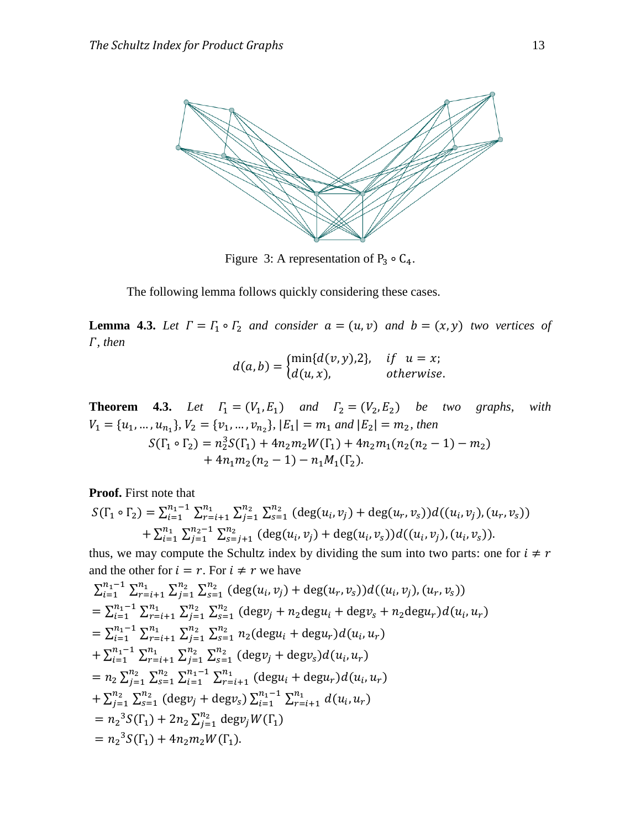

Figure 3: A representation of  $P_3 \circ C_4$ .

The following lemma follows quickly considering these cases.

**Lemma 4.3.** Let  $\Gamma = \Gamma_1 \circ \Gamma_2$  and consider  $a = (u, v)$  and  $b = (x, y)$  two vertices of *, then*

$$
d(a,b) = \begin{cases} \min\{d(v,y),2\}, & \text{if } u = x; \\ d(u,x), & \text{otherwise} \end{cases}
$$

**Theorem 4.3.** *Let*  $\Gamma_1 = (V_1, E_1)$  *and*  $\Gamma_2 = (V_2, E_2)$  *be two graphs, with*  $V_1 = \{u_1, ..., u_{n_1}\}, V_2 = \{v_1, ..., v_{n_2}\}, |E_1| = m_1$  and  $|E_2| = m_2$ , then  $S(\Gamma_1 \circ \Gamma_2) = n_2^3$ +  $4n_1m_2(n_2-1) - n_1M_1(\Gamma_2)$ .

**Proof.** First note that

$$
S(\Gamma_1 \circ \Gamma_2) = \sum_{i=1}^{n_1 - 1} \sum_{r=i+1}^{n_1} \sum_{j=1}^{n_2} \sum_{s=1}^{n_2} (\deg(u_i, v_j) + \deg(u_r, v_s)) d((u_i, v_j), (u_r, v_s)) + \sum_{i=1}^{n_1} \sum_{j=1}^{n_2 - 1} \sum_{s=j+1}^{n_2} (\deg(u_i, v_j) + \deg(u_i, v_s)) d((u_i, v_j), (u_i, v_s)).
$$

thus, we may compute the Schultz index by dividing the sum into two parts: one for  $i \neq r$ and the other for  $i = r$ . For  $i \neq r$  we have

$$
\sum_{i=1}^{n_1-1} \sum_{r=i+1}^{n_1} \sum_{j=1}^{n_2} \sum_{s=1}^{n_2} (\deg(u_i, v_j) + \deg(u_r, v_s))d((u_i, v_j), (u_r, v_s))
$$
\n
$$
= \sum_{i=1}^{n_1-1} \sum_{r=i+1}^{n_1} \sum_{j=1}^{n_2} \sum_{s=1}^{n_2} (\deg v_j + n_2 \deg u_i + \deg v_s + n_2 \deg u_r) d(u_i, u_r)
$$
\n
$$
= \sum_{i=1}^{n_1-1} \sum_{r=i+1}^{n_1} \sum_{j=1}^{n_2} \sum_{s=1}^{n_2} n_2 (\deg u_i + \deg u_r) d(u_i, u_r)
$$
\n
$$
+ \sum_{i=1}^{n_1-1} \sum_{r=i+1}^{n_1} \sum_{j=1}^{n_2} \sum_{s=1}^{n_2} (\deg v_j + \deg v_s) d(u_i, u_r)
$$
\n
$$
= n_2 \sum_{j=1}^{n_2} \sum_{s=1}^{n_2} (\deg v_j + \deg v_s) \sum_{i=1}^{n_1-1} \sum_{r=i+1}^{n_1} d(u_i, u_r)
$$
\n
$$
+ \sum_{j=1}^{n_2} \sum_{s=1}^{n_2} (\deg v_j + \deg v_s) \sum_{i=1}^{n_1-1} \sum_{r=i+1}^{n_1} d(u_i, u_r)
$$
\n
$$
= n_2^3 S(\Gamma_1) + 2n_2 \sum_{j=1}^{n_2} \deg v_j W(\Gamma_1)
$$
\n
$$
= n_2^3 S(\Gamma_1) + 4n_2 m_2 W(\Gamma_1).
$$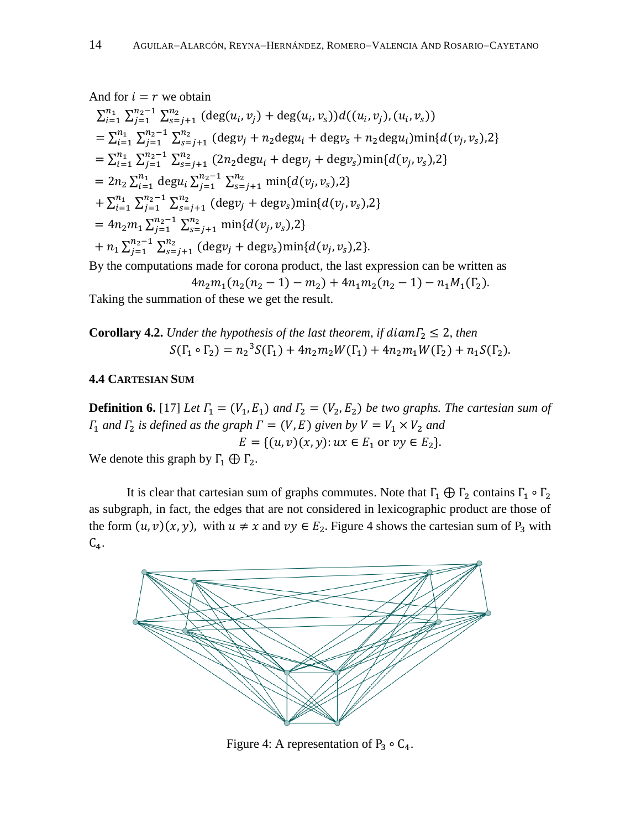#### And for  $i = r$  we obtain

$$
\sum_{i=1}^{n_1} \sum_{j=1}^{n_2-1} \sum_{s=j+1}^{n_2} (\deg(u_i, v_j) + \deg(u_i, v_s)) d((u_i, v_j), (u_i, v_s))
$$
  
\n
$$
= \sum_{i=1}^{n_1} \sum_{j=1}^{n_2-1} \sum_{s=j+1}^{n_2} (\deg v_j + n_2 \deg u_i + \deg v_s + n_2 \deg u_i) \min\{d(v_j, v_s), 2\}
$$
  
\n
$$
= \sum_{i=1}^{n_1} \sum_{j=1}^{n_2-1} \sum_{s=j+1}^{n_2} (2n_2 \deg u_i + \deg v_j + \deg v_s) \min\{d(v_j, v_s), 2\}
$$
  
\n
$$
= 2n_2 \sum_{i=1}^{n_1} \deg u_i \sum_{j=1}^{n_2-1} \sum_{s=j+1}^{n_2} \min\{d(v_j, v_s), 2\}
$$
  
\n
$$
+ \sum_{i=1}^{n_1} \sum_{j=1}^{n_2-1} \sum_{s=j+1}^{n_2} (\deg v_j + \deg v_s) \min\{d(v_j, v_s), 2\}
$$
  
\n
$$
= 4n_2 m_1 \sum_{j=1}^{n_2-1} \sum_{s=j+1}^{n_2} \min\{d(v_j, v_s), 2\}
$$
  
\n
$$
+ n_1 \sum_{j=1}^{n_2-1} \sum_{s=j+1}^{n_2} (\deg v_j + \deg v_s) \min\{d(v_j, v_s), 2\}.
$$

By the computations made for corona product, the last expression can be written as

$$
4n_2m_1(n_2(n_2-1)-m_2)+4n_1m_2(n_2-1)-n_1M_1(\Gamma_2).
$$

Taking the summation of these we get the result.

**Corollary 4.2.** *Under the hypothesis of the last theorem, if diam* $\Gamma_2 \leq 2$ *, then*  $S(\Gamma_1 \circ \Gamma_2) = n_2^3$ 

#### **4.4 CARTESIAN SUM**

**Definition 6.** [17] Let  $\Gamma_1 = (V_1, E_1)$  and  $\Gamma_2 = (V_2, E_2)$  be two graphs. The cartesian sum of  $\Gamma_1$  and  $\Gamma_2$  is defined as the graph  $\Gamma = (V, E)$  given by  $V = V_1 \times V_2$  and  $E = \{(u, v)(x, y): u x \in E_1 \text{ or } vy \in E_2\}.$ 

We denote this graph by  $\Gamma_1 \oplus \Gamma_2$ .

It is clear that cartesian sum of graphs commutes. Note that  $\Gamma_1 \oplus \Gamma_2$  contains  $\Gamma_1 \circ \Gamma_2$ as subgraph, in fact, the edges that are not considered in lexicographic product are those of the form  $(u, v)(x, y)$ , with  $u \neq x$  and  $vy \in E_2$ . Figure 4 shows the cartesian sum of  $P_3$  with  $C_4$ .



Figure 4: A representation of  $P_3 \circ C_4$ .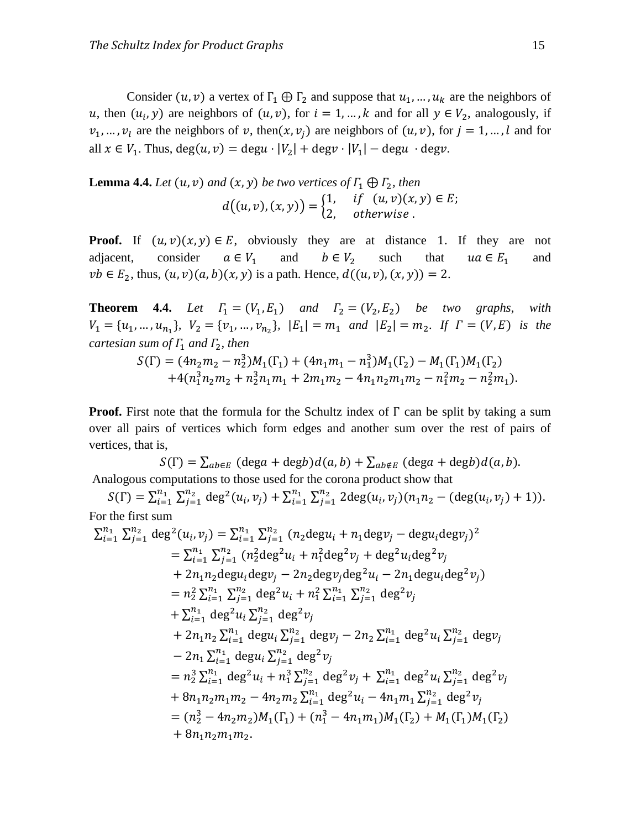Consider  $(u, v)$  a vertex of  $\Gamma_1 \oplus \Gamma_2$  and suppose that  $u_1, \dots, u_k$  are the neighbors of u, then  $(u_i, y)$  are neighbors of  $(u, v)$ , for  $i = 1, ..., k$  and for all  $y \in V_2$ , analogously, if  $v_1, ..., v_l$  are the neighbors of v, then  $(x, v_i)$  are neighbors of  $(u, v)$ , for  $j = 1, ..., l$  and for all  $x \in V_1$ . Thus,  $deg(u, v) = degu \cdot |V_2| + degv \cdot |V_1|$ 

**Lemma 4.4.** *Let*  $(u, v)$  *and*  $(x, y)$  *be two vertices of*  $\Gamma_1 \oplus \Gamma_2$ *, then*  $d((u, v), (x, y)) = \begin{cases} 1 \\ 2 \end{cases}$  $\overline{c}$ 

**Proof.** If  $(u, v)(x, y) \in E$ , obviously they are at distance 1. If they are not adjacent, consider  $a \in V_1$  and  $b \in V_2$  such that  $ua \in E_1$  and  $vb \in E_2$ , thus,  $(u, v)(a, b)(x, y)$  is a path. Hence,  $d((u, v), (x, y)) = 2$ .

**Theorem 4.4.** Let  $\Gamma_1 = (V_1, E_1)$  and  $\Gamma_2 = (V_2, E_2)$  be two graphs, with  $V_1 = \{u_1, ..., u_{n_1}\}, V_2 = \{v_1, ..., v_{n_2}\}, |E_1| = m_1$  and  $|E_2| = m_2$ . If  $\Gamma = (V, E)$  is the *cartesian sum of*  $\Gamma_1$  *and*  $\Gamma_2$ *, then* 

$$
S(\Gamma) = (4n_2m_2 - n_2^3)M_1(\Gamma_1) + (4n_1m_1 - n_1^3)M_1(\Gamma_2) - M_1(\Gamma_1)M_1(\Gamma_2)
$$
  
+4(n\_1^3n\_2m\_2 + n\_2^3n\_1m\_1 + 2m\_1m\_2 - 4n\_1n\_2m\_1m\_2 - n\_1^2m\_2 - n\_2^2m\_1).

**Proof.** First note that the formula for the Schultz index of  $\Gamma$  can be split by taking a sum over all pairs of vertices which form edges and another sum over the rest of pairs of vertices, that is,

 $S(\Gamma) = \sum_{ab \in E} (deg a + deg b) d(a, b) + \sum_{ab \notin E} (deg a + deg b) d(a, b).$ Analogous computations to those used for the corona product show that

 $S(\Gamma) = \sum_{i=1}^{n_1} \sum_{j=1}^{n_i}$  $\sum_{j=1}^{n_2} \deg^2(u_i, v_j) + \sum_{i=1}^{n_1} \sum_{j=1}^{n_i}$  $\int_{j=1}^{n_2} 2\text{deg}(u_i, v_j)(n_1 n_2 - (\text{deg}(u_i,$ For the first sum

$$
\sum_{i=1}^{n_1} \sum_{j=1}^{n_2} \deg^2(u_i, v_j) = \sum_{i=1}^{n_1} \sum_{j=1}^{n_2} (n_2 \deg u_i + n_1 \deg v_j - \deg u_i \deg v_j)^2
$$
  
\n
$$
= \sum_{i=1}^{n_1} \sum_{j=1}^{n_2} (n_2^2 \deg^2 u_i + n_1^2 \deg^2 v_j + \deg^2 u_i \deg^2 v_j + 2n_1 n_2 \deg u_i \deg v_j - 2n_2 \deg v_j \deg^2 u_i - 2n_1 \deg u_i \deg^2 v_j)
$$
  
\n
$$
= n_2^2 \sum_{i=1}^{n_1} \sum_{j=1}^{n_2} \deg^2 u_i + n_1^2 \sum_{i=1}^{n_1} \sum_{j=1}^{n_2} \deg^2 v_j
$$
  
\n
$$
+ \sum_{i=1}^{n_1} \deg^2 u_i \sum_{j=1}^{n_2} \deg^2 v_j
$$
  
\n
$$
+ 2n_1 n_2 \sum_{i=1}^{n_1} \deg u_i \sum_{j=1}^{n_2} \deg v_j - 2n_2 \sum_{i=1}^{n_1} \deg^2 u_i \sum_{j=1}^{n_2} \deg v_j
$$
  
\n
$$
- 2n_1 \sum_{i=1}^{n_1} \deg u_i \sum_{j=1}^{n_2} \deg^2 v_j
$$
  
\n
$$
= n_2^3 \sum_{i=1}^{n_1} \deg^2 u_i + n_1^3 \sum_{j=1}^{n_2} \deg^2 v_j + \sum_{i=1}^{n_1} \deg^2 u_i \sum_{j=1}^{n_2} \deg^2 v_j
$$
  
\n
$$
+ 8n_1 n_2 m_1 m_2 - 4n_2 m_2 \sum_{i=1}^{n_1} \deg^2 u_i - 4n_1 m_1 \sum_{j=1}^{n_2} \deg^2 v_j
$$
  
\n
$$
= (n_2^3 - 4n_2 m_2) M_1(\Gamma_1) + (n_1^3 - 4n_1 m_1) M_1(\Gamma_2) + M_1(\Gamma_1) M_1(\Gamma_2)
$$
  
\n
$$
+ 8n_
$$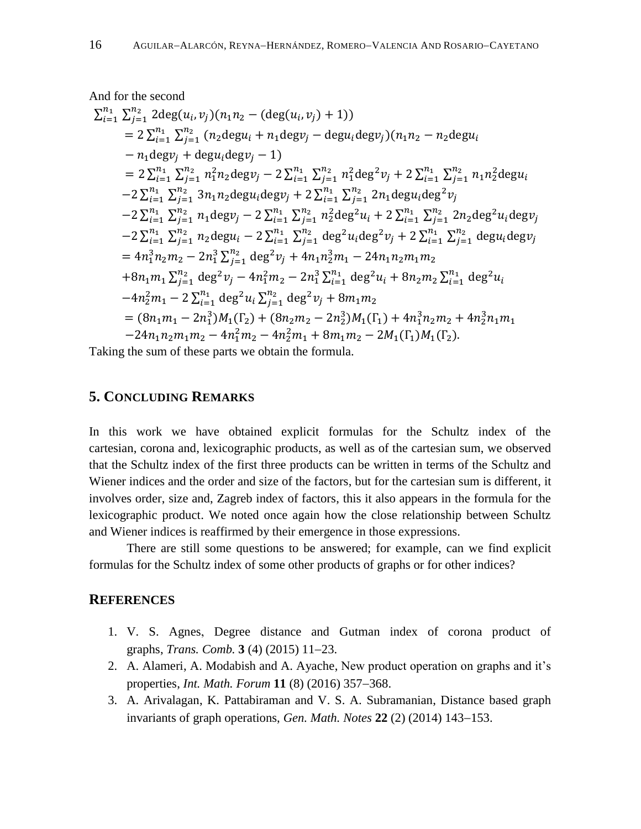And for the second  
\n
$$
\sum_{i=1}^{n_1} \sum_{j=1}^{n_2} 2deg(u_i, v_j)(n_1n_2 - (deg(u_i, v_j) + 1))
$$
\n
$$
= 2\sum_{i=1}^{n_1} \sum_{j=1}^{n_2} (n_2degu_i + n_1degv_j - degu_idegv_j)(n_1n_2 - n_2degu_i - n_1degv_j + degu_idegv_j - 1)
$$
\n
$$
= 2\sum_{i=1}^{n_1} \sum_{j=1}^{n_2} n_1^2n_2degv_j - 2\sum_{i=1}^{n_1} \sum_{j=1}^{n_2} n_1^2deg^2v_j + 2\sum_{i=1}^{n_1} \sum_{j=1}^{n_2} n_1n_2^2degu_i - 2\sum_{i=1}^{n_1} \sum_{j=1}^{n_2} 3n_1n_2degu_idegv_j + 2\sum_{i=1}^{n_1} \sum_{j=1}^{n_2} 2n_1degu_ideg^2v_j - 2\sum_{i=1}^{n_1} \sum_{j=1}^{n_2} n_1degv_j - 2\sum_{i=1}^{n_1} \sum_{j=1}^{n_2} n_2^2deg^2u_i + 2\sum_{i=1}^{n_1} \sum_{j=1}^{n_2} 2n_2deg^2u_idegv_j - 2\sum_{i=1}^{n_1} \sum_{j=1}^{n_2} n_2degu_i - 2\sum_{i=1}^{n_1} \sum_{j=1}^{n_2} deg^2u_ideg^2v_j + 2\sum_{i=1}^{n_1} \sum_{j=1}^{n_2} degu_idegv_j
$$
\n
$$
= 4n_1^3n_2m_2 - 2n_1^3\sum_{j=1}^{n_2} deg^2v_j + 4n_1n_2^3m_1 - 24n_1n_2m_1m_2
$$
\n
$$
+ 8n_1m_1\sum_{j=1}^{n_2} deg^2v_j - 4n_1^2m_2 - 2n_1^3\sum_{i=1}^{n_1} deg^2u_i + 8n_2m_2\sum_{i=1}^{n_1} deg^2u_i
$$
\n
$$
-4n_2^2m
$$

Taking the sum of these parts we obtain the formula.

## **5. CONCLUDING REMARKS**

In this work we have obtained explicit formulas for the Schultz index of the cartesian, corona and, lexicographic products, as well as of the cartesian sum, we observed that the Schultz index of the first three products can be written in terms of the Schultz and Wiener indices and the order and size of the factors, but for the cartesian sum is different, it involves order, size and, Zagreb index of factors, this it also appears in the formula for the lexicographic product. We noted once again how the close relationship between Schultz and Wiener indices is reaffirmed by their emergence in those expressions.

There are still some questions to be answered; for example, can we find explicit formulas for the Schultz index of some other products of graphs or for other indices?

#### **REFERENCES**

- 1. V. S. Agnes, Degree distance and Gutman index of corona product of graphs, *Trans. Comb.* **3** (4) (2015) 11–23.
- 2. A. Alameri, A. Modabish and A. Ayache, New product operation on graphs and it's properties, *Int. Math. Forum* **11** (8) (2016) 357–368.
- 3. A. Arivalagan, K. Pattabiraman and V. S. A. Subramanian, Distance based graph invariants of graph operations, *Gen. Math. Notes* 22 (2) (2014) 143–153.